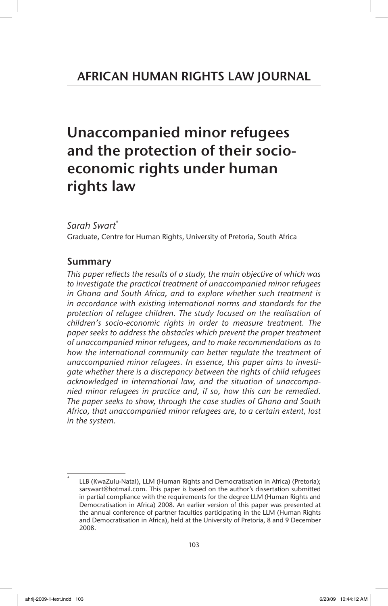# Unaccompanied minor refugees and the protection of their socioeconomic rights under human rights law

*Sarah Swart*\*

Graduate, Centre for Human Rights, University of Pretoria, South Africa

# Summary

*This paper reflects the results of a study, the main objective of which was to investigate the practical treatment of unaccompanied minor refugees in Ghana and South Africa, and to explore whether such treatment is in accordance with existing international norms and standards for the*  protection of refugee children. The study focused on the realisation of *children's socio-economic rights in order to measure treatment. The paper seeks to address the obstacles which prevent the proper treatment of unaccompanied minor refugees, and to make recommendations as to how the international community can better regulate the treatment of unaccompanied minor refugees. In essence, this paper aims to investigate whether there is a discrepancy between the rights of child refugees acknowledged in international law, and the situation of unaccompanied minor refugees in practice and, if so, how this can be remedied. The paper seeks to show, through the case studies of Ghana and South Africa, that unaccompanied minor refugees are, to a certain extent, lost in the system.*

LLB (KwaZulu-Natal), LLM (Human Rights and Democratisation in Africa) (Pretoria); sarswart@hotmail.com. This paper is based on the author's dissertation submitted in partial compliance with the requirements for the degree LLM (Human Rights and Democratisation in Africa) 2008. An earlier version of this paper was presented at the annual conference of partner faculties participating in the LLM (Human Rights and Democratisation in Africa), held at the University of Pretoria, 8 and 9 December 2008.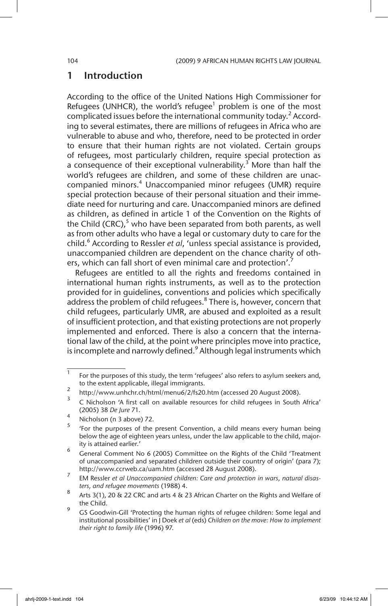# 1 Introduction

According to the office of the United Nations High Commissioner for Refugees (UNHCR), the world's refugee $1$  problem is one of the most complicated issues before the international community today.<sup>2</sup> According to several estimates, there are millions of refugees in Africa who are vulnerable to abuse and who, therefore, need to be protected in order to ensure that their human rights are not violated. Certain groups of refugees, most particularly children, require special protection as a consequence of their exceptional vulnerability.<sup>3</sup> More than half the world's refugees are children, and some of these children are unaccompanied minors.<sup>4</sup> Unaccompanied minor refugees (UMR) require special protection because of their personal situation and their immediate need for nurturing and care. Unaccompanied minors are defined as children, as defined in article 1 of the Convention on the Rights of the Child (CRC), $5$  who have been separated from both parents, as well as from other adults who have a legal or customary duty to care for the child.6 According to Ressler *et al*, 'unless special assistance is provided, unaccompanied children are dependent on the chance charity of others, which can fall short of even minimal care and protection'.<sup>7</sup>

Refugees are entitled to all the rights and freedoms contained in international human rights instruments, as well as to the protection provided for in guidelines, conventions and policies which specifically address the problem of child refugees. $8$  There is, however, concern that child refugees, particularly UMR, are abused and exploited as a result of insufficient protection, and that existing protections are not properly implemented and enforced. There is also a concern that the international law of the child, at the point where principles move into practice, is incomplete and narrowly defined.<sup>9</sup> Although legal instruments which

 $\frac{1}{1}$  For the purposes of this study, the term 'refugees' also refers to asylum seekers and, to the extent applicable, illegal immigrants.

<sup>&</sup>lt;sup>2</sup> http://www.unhchr.ch/html/menu6/2/fs20.htm (accessed 20 August 2008).

<sup>3</sup> C Nicholson 'A first call on available resources for child refugees in South Africa' (2005) 38 *De Jure* 71.

 $\frac{4}{5}$  Nicholson (n 3 above) 72.

<sup>5</sup> 'For the purposes of the present Convention, a child means every human being below the age of eighteen years unless, under the law applicable to the child, majority is attained earlier.'

<sup>6</sup> General Comment No 6 (2005) Committee on the Rights of the Child 'Treatment of unaccompanied and separated children outside their country of origin' (para 7); http://www.ccrweb.ca/uam.htm (accessed 28 August 2008).

<sup>7</sup> EM Ressler *et al Unaccompanied children: Care and protection in wars, natural disasters, and refugee movements* (1988) 4.

<sup>8</sup> Arts 3(1), 20 & 22 CRC and arts 4 & 23 African Charter on the Rights and Welfare of the Child.

<sup>&</sup>lt;sup>9</sup> GS Goodwin-Gill 'Protecting the human rights of refugee children: Some legal and institutional possibilities' in J Doek *et al* (eds) *Children on the move: How to implement their right to family life* (1996) 97.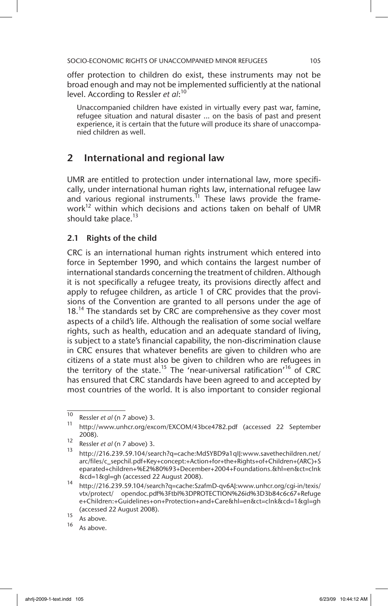offer protection to children do exist, these instruments may not be broad enough and may not be implemented sufficiently at the national level. According to Ressler *et al*: 10

Unaccompanied children have existed in virtually every past war, famine, refugee situation and natural disaster ... on the basis of past and present experience, it is certain that the future will produce its share of unaccompanied children as well.

# 2 International and regional law

UMR are entitled to protection under international law, more specifically, under international human rights law, international refugee law and various regional instruments.<sup>11</sup> These laws provide the framework<sup>12</sup> within which decisions and actions taken on behalf of UMR should take place.<sup>13</sup>

# 2.1 Rights of the child

CRC is an international human rights instrument which entered into force in September 1990, and which contains the largest number of international standards concerning the treatment of children. Although it is not specifically a refugee treaty, its provisions directly affect and apply to refugee children, as article 1 of CRC provides that the provisions of the Convention are granted to all persons under the age of  $18<sup>14</sup>$  The standards set by CRC are comprehensive as they cover most aspects of a child's life. Although the realisation of some social welfare rights, such as health, education and an adequate standard of living, is subject to a state's financial capability, the non-discrimination clause in CRC ensures that whatever benefits are given to children who are citizens of a state must also be given to children who are refugees in the territory of the state.<sup>15</sup> The 'near-universal ratification'<sup>16</sup> of CRC has ensured that CRC standards have been agreed to and accepted by most countries of the world. It is also important to consider regional

 $\frac{10}{10}$  Ressler *et al* (n 7 above) 3.

http://www.unhcr.org/excom/EXCOM/43bce4782.pdf (accessed 22 September 2008).

<sup>12</sup> Ressler *et al* (n 7 above) 3.

http://216.239.59.104/search?q=cache:MdSYBD9a1qIJ:www.savethechildren.net/ arc/files/c\_sepchil.pdf+Key+concept:+Action+for+the+Rights+of+Children+(ARC)+S eparated+children+%E2%80%93+December+2004+Foundations.&hl=en&ct=clnk &cd=1&gl=gh (accessed 22 August 2008).

<sup>14</sup> http://216.239.59.104/search?q=cache:SzafmD-qv6AJ:www.unhcr.org/cgi-in/texis/ vtx/protect/ opendoc.pdf%3Ftbl%3DPROTECTION%26id%3D3b84c6c67+Refuge e+Children:+Guidelines+on+Protection+and+Care&hl=en&ct=clnk&cd=1&gl=gh (accessed 22 August 2008).

 $\frac{15}{16}$  As above.

As above.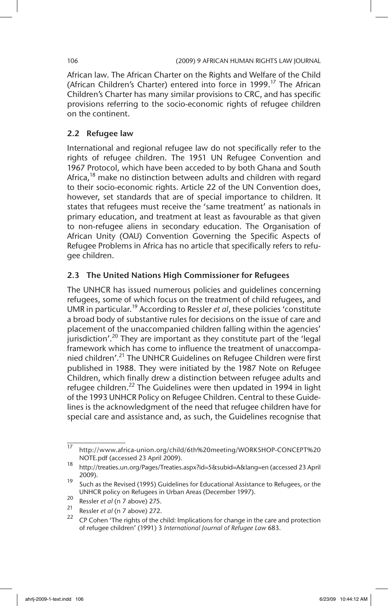African law. The African Charter on the Rights and Welfare of the Child (African Children's Charter) entered into force in 1999.<sup>17</sup> The African Children's Charter has many similar provisions to CRC, and has specific provisions referring to the socio-economic rights of refugee children on the continent.

# 2.2 Refugee law

International and regional refugee law do not specifically refer to the rights of refugee children. The 1951 UN Refugee Convention and 1967 Protocol, which have been acceded to by both Ghana and South Africa,<sup>18</sup> make no distinction between adults and children with regard to their socio-economic rights. Article 22 of the UN Convention does, however, set standards that are of special importance to children. It states that refugees must receive the 'same treatment' as nationals in primary education, and treatment at least as favourable as that given to non-refugee aliens in secondary education. The Organisation of African Unity (OAU) Convention Governing the Specific Aspects of Refugee Problems in Africa has no article that specifically refers to refugee children.

# 2.3 The United Nations High Commissioner for Refugees

The UNHCR has issued numerous policies and guidelines concerning refugees, some of which focus on the treatment of child refugees, and UMR in particular.19 According to Ressler *et al*, these policies 'constitute a broad body of substantive rules for decisions on the issue of care and placement of the unaccompanied children falling within the agencies' jurisdiction'.<sup>20</sup> They are important as they constitute part of the 'legal framework which has come to influence the treatment of unaccompanied children'.<sup>21</sup> The UNHCR Guidelines on Refugee Children were first published in 1988. They were initiated by the 1987 Note on Refugee Children, which finally drew a distinction between refugee adults and refugee children.<sup>22</sup> The Guidelines were then updated in 1994 in light of the 1993 UNHCR Policy on Refugee Children. Central to these Guidelines is the acknowledgment of the need that refugee children have for special care and assistance and, as such, the Guidelines recognise that

<sup>17</sup> http://www.africa-union.org/child/6th%20meeting/WORKSHOP-CONCEPT%20 NOTE.pdf (accessed 23 April 2009).

<sup>18</sup> http://treaties.un.org/Pages/Treaties.aspx?id=5&subid=A&lang=en (accessed 23 April 2009).

 $19$  Such as the Revised (1995) Guidelines for Educational Assistance to Refugees, or the UNHCR policy on Refugees in Urban Areas (December 1997).

<sup>20</sup> Ressler *et al* (n 7 above) 275.

<sup>21</sup> Ressler *et al* (n 7 above) 272.

<sup>22</sup> CP Cohen 'The rights of the child: Implications for change in the care and protection of refugee children' (1991) 3 *International Journal of Refugee Law* 683.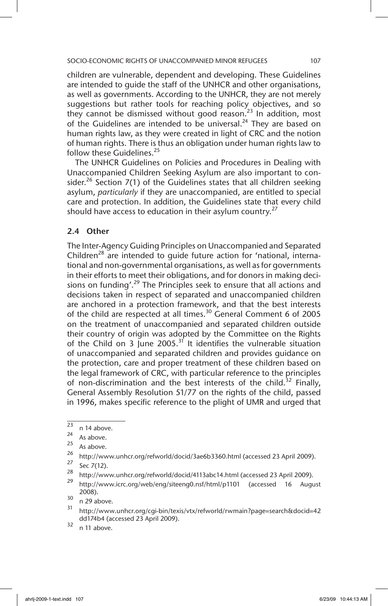children are vulnerable, dependent and developing. These Guidelines are intended to guide the staff of the UNHCR and other organisations, as well as governments. According to the UNHCR, they are not merely suggestions but rather tools for reaching policy objectives, and so they cannot be dismissed without good reason.<sup>23</sup> In addition, most of the Guidelines are intended to be universal.<sup>24</sup> They are based on human rights law, as they were created in light of CRC and the notion of human rights. There is thus an obligation under human rights law to follow these Guidelines.<sup>25</sup>

The UNHCR Guidelines on Policies and Procedures in Dealing with Unaccompanied Children Seeking Asylum are also important to consider.<sup>26</sup> Section 7(1) of the Guidelines states that all children seeking asylum, *particularly* if they are unaccompanied, are entitled to special care and protection. In addition, the Guidelines state that every child should have access to education in their asylum country.<sup>27</sup>

# 2.4 Other

The Inter-Agency Guiding Principles on Unaccompanied and Separated Children<sup>28</sup> are intended to quide future action for 'national, international and non-governmental organisations, as well as for governments in their efforts to meet their obligations, and for donors in making decisions on funding'.<sup>29</sup> The Principles seek to ensure that all actions and decisions taken in respect of separated and unaccompanied children are anchored in a protection framework, and that the best interests of the child are respected at all times.<sup>30</sup> General Comment 6 of 2005 on the treatment of unaccompanied and separated children outside their country of origin was adopted by the Committee on the Rights of the Child on 3 June 2005.<sup>31</sup> It identifies the vulnerable situation of unaccompanied and separated children and provides guidance on the protection, care and proper treatment of these children based on the legal framework of CRC, with particular reference to the principles of non-discrimination and the best interests of the child.<sup>32</sup> Finally, General Assembly Resolution 51/77 on the rights of the child, passed in 1996, makes specific reference to the plight of UMR and urged that

 $\frac{23}{24}$  n 14 above.

 $\frac{24}{25}$  As above.

 $\frac{25}{26}$  As above.

<sup>&</sup>lt;sup>26</sup> http://www.unhcr.org/refworld/docid/3ae6b3360.html (accessed 23 April 2009).<br>27

 $\frac{27}{28}$  Sec 7(12).

<sup>&</sup>lt;sup>28</sup> http://www.unhcr.org/refworld/docid/4113abc14.html (accessed 23 April 2009).

<sup>29</sup> http://www.icrc.org/web/eng/siteeng0.nsf/html/p1101 (accessed 16 August 2008).

 $\frac{30}{31}$  n 29 above.

<sup>31</sup> http://www.unhcr.org/cgi-bin/texis/vtx/refworld/rwmain?page=search&docid=42 dd174b4 (accessed 23 April 2009).

 $32$  n 11 above.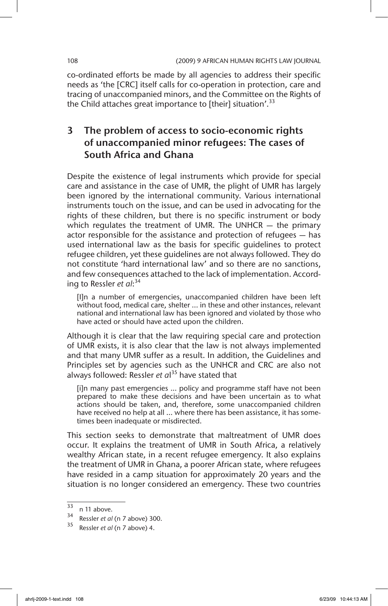co-ordinated efforts be made by all agencies to address their specific needs as 'the [CRC] itself calls for co-operation in protection, care and tracing of unaccompanied minors, and the Committee on the Rights of the Child attaches great importance to [their] situation'.<sup>33</sup>

# 3 The problem of access to socio-economic rights of unaccompanied minor refugees: The cases of South Africa and Ghana

Despite the existence of legal instruments which provide for special care and assistance in the case of UMR, the plight of UMR has largely been ignored by the international community. Various international instruments touch on the issue, and can be used in advocating for the rights of these children, but there is no specific instrument or body which regulates the treatment of UMR. The UNHCR - the primary actor responsible for the assistance and protection of refugees — has used international law as the basis for specific guidelines to protect refugee children, yet these guidelines are not always followed. They do not constitute 'hard international law' and so there are no sanctions, and few consequences attached to the lack of implementation. According to Ressler *et al*: 34

[I]n a number of emergencies, unaccompanied children have been left without food, medical care, shelter ... in these and other instances, relevant national and international law has been ignored and violated by those who have acted or should have acted upon the children.

Although it is clear that the law requiring special care and protection of UMR exists, it is also clear that the law is not always implemented and that many UMR suffer as a result. In addition, the Guidelines and Principles set by agencies such as the UNHCR and CRC are also not always followed: Ressler *et a*l 35 have stated that

[i]n many past emergencies ... policy and programme staff have not been prepared to make these decisions and have been uncertain as to what actions should be taken, and, therefore, some unaccompanied children have received no help at all ... where there has been assistance, it has sometimes been inadequate or misdirected.

This section seeks to demonstrate that maltreatment of UMR does occur. It explains the treatment of UMR in South Africa, a relatively wealthy African state, in a recent refugee emergency. It also explains the treatment of UMR in Ghana, a poorer African state, where refugees have resided in a camp situation for approximately 20 years and the situation is no longer considered an emergency. These two countries

 $\frac{33}{34}$  n 11 above.

Ressler *et al* (n 7 above) 300.

<sup>35</sup> Ressler *et al* (n 7 above) 4.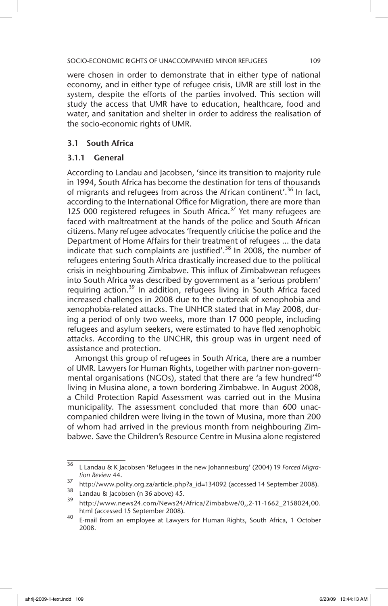were chosen in order to demonstrate that in either type of national economy, and in either type of refugee crisis, UMR are still lost in the system, despite the efforts of the parties involved. This section will study the access that UMR have to education, healthcare, food and water, and sanitation and shelter in order to address the realisation of the socio-economic rights of UMR.

# 3.1 South Africa

# 3.1.1 General

According to Landau and Jacobsen, 'since its transition to majority rule in 1994, South Africa has become the destination for tens of thousands of migrants and refugees from across the African continent'.<sup>36</sup> In fact, according to the International Office for Migration, there are more than 125 000 registered refugees in South Africa. $37$  Yet many refugees are faced with maltreatment at the hands of the police and South African citizens. Many refugee advocates 'frequently criticise the police and the Department of Home Affairs for their treatment of refugees ... the data indicate that such complaints are justified'.<sup>38</sup> In 2008, the number of refugees entering South Africa drastically increased due to the political crisis in neighbouring Zimbabwe. This influx of Zimbabwean refugees into South Africa was described by government as a 'serious problem' requiring action.<sup>39</sup> In addition, refugees living in South Africa faced increased challenges in 2008 due to the outbreak of xenophobia and xenophobia-related attacks. The UNHCR stated that in May 2008, during a period of only two weeks, more than 17 000 people, including refugees and asylum seekers, were estimated to have fled xenophobic attacks. According to the UNCHR, this group was in urgent need of assistance and protection.

Amongst this group of refugees in South Africa, there are a number of UMR. Lawyers for Human Rights, together with partner non-governmental organisations (NGOs), stated that there are 'a few hundred'<sup>40</sup> living in Musina alone, a town bordering Zimbabwe. In August 2008, a Child Protection Rapid Assessment was carried out in the Musina municipality. The assessment concluded that more than 600 unaccompanied children were living in the town of Musina, more than 200 of whom had arrived in the previous month from neighbouring Zimbabwe. Save the Children's Resource Centre in Musina alone registered

<sup>36</sup> L Landau & K Jacobsen 'Refugees in the new Johannesburg' (2004) 19 *Forced Migration Review* 44.

<sup>&</sup>lt;sup>37</sup> http://www.polity.org.za/article.php?a\_id=134092 (accessed 14 September 2008).

 $\frac{38}{39}$  Landau & Jacobsen (n 36 above) 45.

<sup>39</sup> http://www.news24.com/News24/Africa/Zimbabwe/0,,2-11-1662\_2158024,00. html (accessed 15 September 2008).

<sup>40</sup> E-mail from an employee at Lawyers for Human Rights, South Africa, 1 October 2008.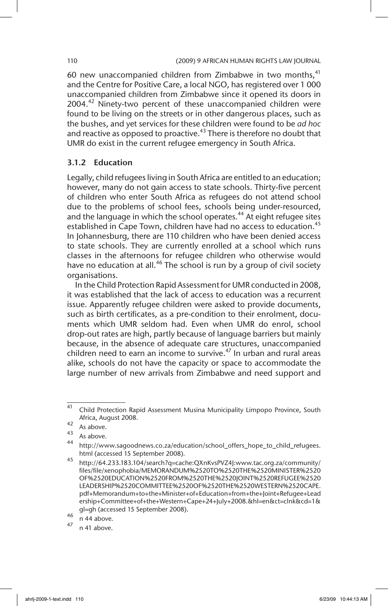60 new unaccompanied children from Zimbabwe in two months, $41$ and the Centre for Positive Care, a local NGO, has registered over 1 000 unaccompanied children from Zimbabwe since it opened its doors in 2004.<sup>42</sup> Ninety-two percent of these unaccompanied children were found to be living on the streets or in other dangerous places, such as the bushes, and yet services for these children were found to be *ad hoc* and reactive as opposed to proactive.<sup>43</sup> There is therefore no doubt that UMR do exist in the current refugee emergency in South Africa.

### 3.1.2 Education

Legally, child refugees living in South Africa are entitled to an education; however, many do not gain access to state schools. Thirty-five percent of children who enter South Africa as refugees do not attend school due to the problems of school fees, schools being under-resourced, and the language in which the school operates.<sup>44</sup> At eight refugee sites established in Cape Town, children have had no access to education.<sup>45</sup> In Johannesburg, there are 110 children who have been denied access to state schools. They are currently enrolled at a school which runs classes in the afternoons for refugee children who otherwise would have no education at all.<sup>46</sup> The school is run by a group of civil society organisations.

In the Child Protection Rapid Assessment for UMR conducted in 2008, it was established that the lack of access to education was a recurrent issue. Apparently refugee children were asked to provide documents, such as birth certificates, as a pre-condition to their enrolment, documents which UMR seldom had. Even when UMR do enrol, school drop-out rates are high, partly because of language barriers but mainly because, in the absence of adequate care structures, unaccompanied children need to earn an income to survive. $47$  In urban and rural areas alike, schools do not have the capacity or space to accommodate the large number of new arrivals from Zimbabwe and need support and

 $\frac{41}{41}$  Child Protection Rapid Assessment Musina Municipality Limpopo Province, South Africa, August 2008.

 $42$  As above.

 $43$  As above.

http://www.sagoodnews.co.za/education/school\_offers\_hope\_to\_child\_refugees. html (accessed 15 September 2008).

<sup>45</sup> http://64.233.183.104/search?q=cache:QXnKvsPVZ4J:www.tac.org.za/community/ files/file/xenophobia/MEMORANDUM%2520TO%2520THE%2520MINISTER%2520 OF%2520EDUCATION%2520FROM%2520THE%2520JOINT%2520REFUGEE%2520 LEADERSHIP%2520COMMITTEE%2520OF%2520THE%2520WESTERN%2520CAPE. pdf+Memorandum+to+the+Minister+of+Education+from+the+Joint+Refugee+Lead ership+Committee+of+the+Western+Cape+24+July+2008.&hl=en&ct=clnk&cd=1& gl=gh (accessed 15 September 2008).

 $\frac{46}{47}$  n 44 above.

<sup>47</sup> n 41 above.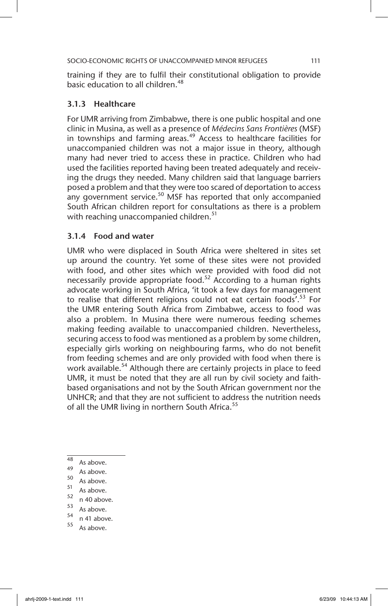training if they are to fulfil their constitutional obligation to provide basic education to all children.<sup>48</sup>

# 3.1.3 Healthcare

For UMR arriving from Zimbabwe, there is one public hospital and one clinic in Musina, as well as a presence of *Médecins Sans Frontières* (MSF) in townships and farming areas. $49$  Access to healthcare facilities for unaccompanied children was not a major issue in theory, although many had never tried to access these in practice. Children who had used the facilities reported having been treated adequately and receiving the drugs they needed. Many children said that language barriers posed a problem and that they were too scared of deportation to access any government service. $50$  MSF has reported that only accompanied South African children report for consultations as there is a problem with reaching unaccompanied children.<sup>51</sup>

### 3.1.4 Food and water

UMR who were displaced in South Africa were sheltered in sites set up around the country. Yet some of these sites were not provided with food, and other sites which were provided with food did not necessarily provide appropriate food.<sup>52</sup> According to a human rights advocate working in South Africa, 'it took a few days for management to realise that different religions could not eat certain foods'.<sup>53</sup> For the UMR entering South Africa from Zimbabwe, access to food was also a problem. In Musina there were numerous feeding schemes making feeding available to unaccompanied children. Nevertheless, securing access to food was mentioned as a problem by some children, especially girls working on neighbouring farms, who do not benefit from feeding schemes and are only provided with food when there is work available.<sup>54</sup> Although there are certainly projects in place to feed UMR, it must be noted that they are all run by civil society and faithbased organisations and not by the South African government nor the UNHCR; and that they are not sufficient to address the nutrition needs of all the UMR living in northern South Africa.<sup>55</sup>

- $^{49}$  As above.
- $50$  As above.
- $\frac{31}{52}$  As above.
- $\frac{52}{53}$  n 40 above.
- $\frac{53}{54}$  As above.
- $\frac{34}{55}$  n 41 above.
- As above.

 $48$  As above.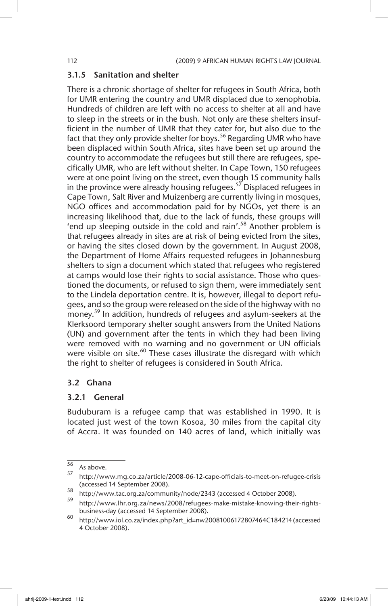### 3.1.5 Sanitation and shelter

There is a chronic shortage of shelter for refugees in South Africa, both for UMR entering the country and UMR displaced due to xenophobia. Hundreds of children are left with no access to shelter at all and have to sleep in the streets or in the bush. Not only are these shelters insufficient in the number of UMR that they cater for, but also due to the fact that they only provide shelter for boys.<sup>56</sup> Regarding UMR who have been displaced within South Africa, sites have been set up around the country to accommodate the refugees but still there are refugees, specifically UMR, who are left without shelter. In Cape Town, 150 refugees were at one point living on the street, even though 15 community halls in the province were already housing refugees.<sup>57</sup> Displaced refugees in Cape Town, Salt River and Muizenberg are currently living in mosques, NGO offices and accommodation paid for by NGOs, yet there is an increasing likelihood that, due to the lack of funds, these groups will 'end up sleeping outside in the cold and rain'.58 Another problem is that refugees already in sites are at risk of being evicted from the sites, or having the sites closed down by the government. In August 2008, the Department of Home Affairs requested refugees in Johannesburg shelters to sign a document which stated that refugees who registered at camps would lose their rights to social assistance. Those who questioned the documents, or refused to sign them, were immediately sent to the Lindela deportation centre. It is, however, illegal to deport refugees, and so the group were released on the side of the highway with no money.<sup>59</sup> In addition, hundreds of refugees and asylum-seekers at the Klerksoord temporary shelter sought answers from the United Nations (UN) and government after the tents in which they had been living were removed with no warning and no government or UN officials were visible on site.<sup>60</sup> These cases illustrate the disregard with which the right to shelter of refugees is considered in South Africa.

### 3.2 Ghana

### 3.2.1 General

Buduburam is a refugee camp that was established in 1990. It is located just west of the town Kosoa, 30 miles from the capital city of Accra. It was founded on 140 acres of land, which initially was

<sup>56</sup> As above.

<sup>57</sup> http://www.mg.co.za/article/2008-06-12-cape-officials-to-meet-on-refugee-crisis (accessed 14 September 2008).

<sup>58</sup> http://www.tac.org.za/community/node/2343 (accessed 4 October 2008).

http://www.lhr.org.za/news/2008/refugees-make-mistake-knowing-their-rightsbusiness-day (accessed 14 September 2008).

<sup>60</sup> http://www.iol.co.za/index.php?art\_id=nw20081006172807464C184214 (accessed 4 October 2008).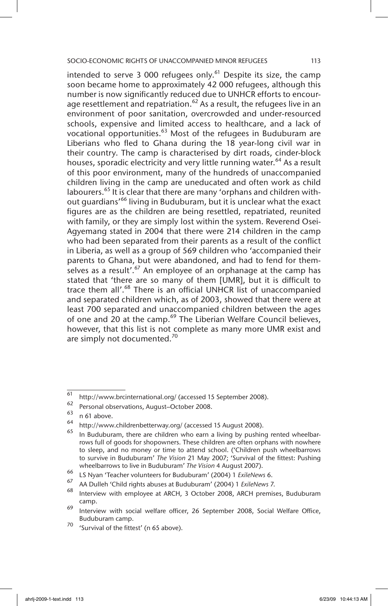intended to serve 3 000 refugees only.<sup>61</sup> Despite its size, the camp soon became home to approximately 42 000 refugees, although this number is now significantly reduced due to UNHCR efforts to encourage resettlement and repatriation.<sup>62</sup> As a result, the refugees live in an environment of poor sanitation, overcrowded and under-resourced schools, expensive and limited access to healthcare, and a lack of vocational opportunities.<sup>63</sup> Most of the refugees in Buduburam are Liberians who fled to Ghana during the 18 year-long civil war in their country. The camp is characterised by dirt roads, cinder-block houses, sporadic electricity and very little running water.<sup>64</sup> As a result of this poor environment, many of the hundreds of unaccompanied children living in the camp are uneducated and often work as child labourers.<sup>65</sup> It is clear that there are many 'orphans and children without quardians<sup>'66</sup> living in Buduburam, but it is unclear what the exact figures are as the children are being resettled, repatriated, reunited with family, or they are simply lost within the system. Reverend Osei-Agyemang stated in 2004 that there were 214 children in the camp who had been separated from their parents as a result of the conflict in Liberia, as well as a group of 569 children who 'accompanied their parents to Ghana, but were abandoned, and had to fend for themselves as a result'.<sup>67</sup> An employee of an orphanage at the camp has stated that 'there are so many of them [UMR], but it is difficult to trace them all'.<sup>68</sup> There is an official UNHCR list of unaccompanied and separated children which, as of 2003, showed that there were at least 700 separated and unaccompanied children between the ages of one and 20 at the camp.<sup>69</sup> The Liberian Welfare Council believes, however, that this list is not complete as many more UMR exist and are simply not documented.<sup>70</sup>

<sup>61</sup> http://www.brcinternational.org/ (accessed 15 September 2008).

 $^{62}$  Personal observations, August–October 2008.

 $\begin{array}{c} 63 \text{ }$  n 61 above.

 $^{64}$  http://www.childrenbetterway.org/ (accessed 15 August 2008).

In Buduburam, there are children who earn a living by pushing rented wheelbarrows full of goods for shopowners. These children are often orphans with nowhere to sleep, and no money or time to attend school. ('Children push wheelbarrows to survive in Buduburam' *The Vision* 21 May 2007; 'Survival of the fittest: Pushing wheelbarrows to live in Buduburam' *The Vision* 4 August 2007).

<sup>66</sup> LS Nyan 'Teacher volunteers for Buduburam' (2004) 1 *ExileNews* 6.

<sup>67</sup> AA Dulleh 'Child rights abuses at Buduburam' (2004) 1 *ExileNews* 7.

Interview with employee at ARCH, 3 October 2008, ARCH premises, Buduburam camp.

<sup>69</sup> Interview with social welfare officer, 26 September 2008, Social Welfare Office, Buduburam camp.

<sup>&</sup>lt;sup>70</sup> 'Survival of the fittest' (n 65 above).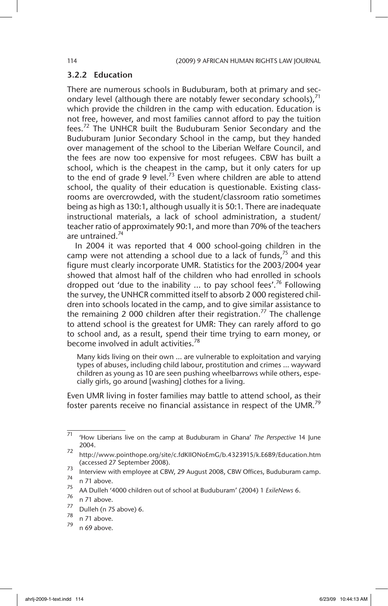### 3.2.2 Education

There are numerous schools in Buduburam, both at primary and secondary level (although there are notably fewer secondary schools), $^{71}$ which provide the children in the camp with education. Education is not free, however, and most families cannot afford to pay the tuition fees.<sup>72</sup> The UNHCR built the Buduburam Senior Secondary and the Buduburam Junior Secondary School in the camp, but they handed over management of the school to the Liberian Welfare Council, and the fees are now too expensive for most refugees. CBW has built a school, which is the cheapest in the camp, but it only caters for up to the end of grade 9 level.<sup>73</sup> Even where children are able to attend school, the quality of their education is questionable. Existing classrooms are overcrowded, with the student/classroom ratio sometimes being as high as 130:1, although usually it is 50:1. There are inadequate instructional materials, a lack of school administration, a student/ teacher ratio of approximately 90:1, and more than 70% of the teachers are untrained.<sup>74</sup>

In 2004 it was reported that 4 000 school-going children in the camp were not attending a school due to a lack of funds, $75$  and this figure must clearly incorporate UMR. Statistics for the 2003/2004 year showed that almost half of the children who had enrolled in schools dropped out 'due to the inability ... to pay school fees'.<sup>76</sup> Following the survey, the UNHCR committed itself to absorb 2 000 registered children into schools located in the camp, and to give similar assistance to the remaining 2 000 children after their registration.<sup>77</sup> The challenge to attend school is the greatest for UMR: They can rarely afford to go to school and, as a result, spend their time trying to earn money, or become involved in adult activities.<sup>78</sup>

Many kids living on their own … are vulnerable to exploitation and varying types of abuses, including child labour, prostitution and crimes … wayward children as young as 10 are seen pushing wheelbarrows while others, especially girls, go around [washing] clothes for a living.

Even UMR living in foster families may battle to attend school, as their foster parents receive no financial assistance in respect of the UMR.<sup>79</sup>

<sup>71</sup> 'How Liberians live on the camp at Buduburam in Ghana' *The Perspective* 14 June 2004.

<sup>72</sup> http://www.pointhope.org/site/c.fdKIIONoEmG/b.4323915/k.E6B9/Education.htm (accessed 27 September 2008).

 $\frac{73}{74}$  Interview with employee at CBW, 29 August 2008, CBW Offices, Buduburam camp.

 $^{74}$  n 71 above.

<sup>75</sup> AA Dulleh '4000 children out of school at Buduburam' (2004) 1 *ExileNews* 6.

 $\frac{76}{77}$  n 71 above.

 $\frac{77}{78}$  Dulleh (n 75 above) 6.

 $\frac{78}{79}$  n 71 above.

n 69 above.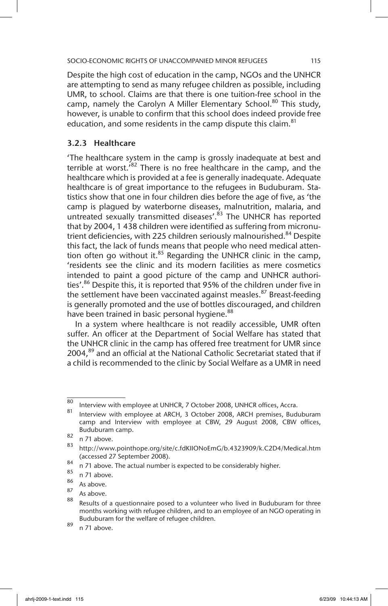Despite the high cost of education in the camp, NGOs and the UNHCR are attempting to send as many refugee children as possible, including UMR, to school. Claims are that there is one tuition-free school in the camp, namely the Carolyn A Miller Elementary School.<sup>80</sup> This study, however, is unable to confirm that this school does indeed provide free education, and some residents in the camp dispute this claim.<sup>81</sup>

# 3.2.3 Healthcare

'The healthcare system in the camp is grossly inadequate at best and terrible at worst.<sup>'82</sup> There is no free healthcare in the camp, and the healthcare which is provided at a fee is generally inadequate. Adequate healthcare is of great importance to the refugees in Buduburam. Statistics show that one in four children dies before the age of five, as 'the camp is plagued by waterborne diseases, malnutrition, malaria, and untreated sexually transmitted diseases'.<sup>83</sup> The UNHCR has reported that by 2004, 1 438 children were identified as suffering from micronutrient deficiencies, with 225 children seriously malnourished.<sup>84</sup> Despite this fact, the lack of funds means that people who need medical attention often go without it. $85$  Regarding the UNHCR clinic in the camp, 'residents see the clinic and its modern facilities as mere cosmetics intended to paint a good picture of the camp and UNHCR authorities'.<sup>86</sup> Despite this, it is reported that 95% of the children under five in the settlement have been vaccinated against measles.<sup>87</sup> Breast-feeding is generally promoted and the use of bottles discouraged, and children have been trained in basic personal hygiene.<sup>88</sup>

In a system where healthcare is not readily accessible, UMR often suffer. An officer at the Department of Social Welfare has stated that the UNHCR clinic in the camp has offered free treatment for UMR since 2004,<sup>89</sup> and an official at the National Catholic Secretariat stated that if a child is recommended to the clinic by Social Welfare as a UMR in need

<sup>&</sup>lt;sup>80</sup> Interview with employee at UNHCR, 7 October 2008, UNHCR offices, Accra.

Interview with employee at ARCH, 3 October 2008, ARCH premises, Buduburam camp and Interview with employee at CBW, 29 August 2008, CBW offices, Buduburam camp.

 $\frac{82}{83}$  n 71 above.

<sup>83</sup> http://www.pointhope.org/site/c.fdKIIONoEmG/b.4323909/k.C2D4/Medical.htm (accessed 27 September 2008).

 $^{84}$  n 71 above. The actual number is expected to be considerably higher.

 $\begin{array}{c} 85 \\ 86 \end{array}$  n 71 above.

 $\begin{matrix} 87 \\ 87 \end{matrix}$  As above.

 $\frac{87}{88}$  As above.

Results of a questionnaire posed to a volunteer who lived in Buduburam for three months working with refugee children, and to an employee of an NGO operating in Buduburam for the welfare of refugee children.

 $89$  n 71 above.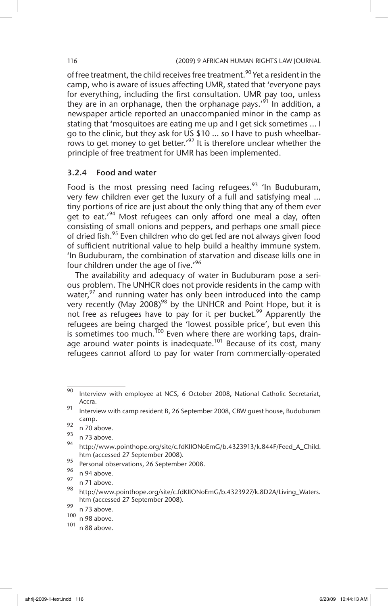of free treatment, the child receives free treatment.<sup>90</sup> Yet a resident in the camp, who is aware of issues affecting UMR, stated that 'everyone pays for everything, including the first consultation. UMR pay too, unless they are in an orphanage, then the orphanage pays.<sup> $91$ </sup> In addition, a newspaper article reported an unaccompanied minor in the camp as stating that 'mosquitoes are eating me up and I get sick sometimes ... I go to the clinic, but they ask for US \$10 ... so I have to push wheelbarrows to get money to get better.<sup> $22$ </sup> It is therefore unclear whether the principle of free treatment for UMR has been implemented.

### 3.2.4 Food and water

Food is the most pressing need facing refugees.  $93$  'In Buduburam, very few children ever get the luxury of a full and satisfying meal ... tiny portions of rice are just about the only thing that any of them ever get to eat.'<sup>94</sup> Most refugees can only afford one meal a day, often consisting of small onions and peppers, and perhaps one small piece of dried fish.<sup>95</sup> Even children who do get fed are not always given food of sufficient nutritional value to help build a healthy immune system. 'In Buduburam, the combination of starvation and disease kills one in four children under the age of five.<sup>'96</sup>

The availability and adequacy of water in Buduburam pose a serious problem. The UNHCR does not provide residents in the camp with water, $97$  and running water has only been introduced into the camp very recently (May  $2008)^{98}$  by the UNHCR and Point Hope, but it is not free as refugees have to pay for it per bucket.<sup>99</sup> Apparently the refugees are being charged the 'lowest possible price', but even this is sometimes too much.<sup>100</sup> Even where there are working taps, drainage around water points is inadequate.<sup>101</sup> Because of its cost, many refugees cannot afford to pay for water from commercially-operated

95 Personal observations, 26 September 2008.

 $\frac{1}{90}$  Interview with employee at NCS, 6 October 2008, National Catholic Secretariat, Accra.

<sup>91</sup> Interview with camp resident B, 26 September 2008, CBW quest house, Buduburam camp.

 $\frac{92}{93}$  n 70 above.

 $\frac{93}{94}$  n 73 above.

http://www.pointhope.org/site/c.fdKIIONoEmG/b.4323913/k.844F/Feed A Child. htm (accessed 27 September 2008).

 $\frac{96}{97}$  n 94 above.

 $\frac{97}{98}$  n 71 above.

http://www.pointhope.org/site/c.fdKIIONoEmG/b.4323927/k.8D2A/Living\_Waters. htm (accessed 27 September 2008).

 $\frac{99}{100}$  n 73 above.

 $\frac{100}{101}$  n 98 above.

n 88 above.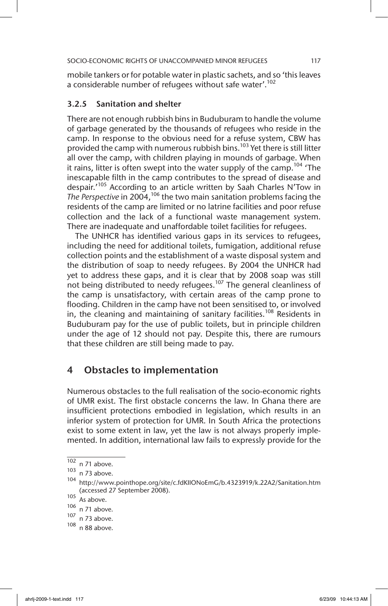mobile tankers or for potable water in plastic sachets, and so 'this leaves a considerable number of refugees without safe water'.<sup>102</sup>

# 3.2.5 Sanitation and shelter

There are not enough rubbish bins in Buduburam to handle the volume of garbage generated by the thousands of refugees who reside in the camp. In response to the obvious need for a refuse system, CBW has provided the camp with numerous rubbish bins.<sup>103</sup> Yet there is still litter all over the camp, with children playing in mounds of garbage. When it rains, litter is often swept into the water supply of the camp.<sup>104</sup> 'The inescapable filth in the camp contributes to the spread of disease and despair.<sup>'105</sup> According to an article written by Saah Charles N'Tow in The Perspective in 2004,<sup>106</sup> the two main sanitation problems facing the residents of the camp are limited or no latrine facilities and poor refuse collection and the lack of a functional waste management system. There are inadequate and unaffordable toilet facilities for refugees.

The UNHCR has identified various gaps in its services to refugees, including the need for additional toilets, fumigation, additional refuse collection points and the establishment of a waste disposal system and the distribution of soap to needy refugees. By 2004 the UNHCR had yet to address these gaps, and it is clear that by 2008 soap was still not being distributed to needy refugees.107 The general cleanliness of the camp is unsatisfactory, with certain areas of the camp prone to flooding. Children in the camp have not been sensitised to, or involved in, the cleaning and maintaining of sanitary facilities.<sup>108</sup> Residents in Buduburam pay for the use of public toilets, but in principle children under the age of 12 should not pay. Despite this, there are rumours that these children are still being made to pay.

# 4 Obstacles to implementation

Numerous obstacles to the full realisation of the socio-economic rights of UMR exist. The first obstacle concerns the law. In Ghana there are insufficient protections embodied in legislation, which results in an inferior system of protection for UMR. In South Africa the protections exist to some extent in law, yet the law is not always properly implemented. In addition, international law fails to expressly provide for the

 $\frac{102}{n}$  n 71 above.

 $103$  n 73 above.

<sup>104</sup> http://www.pointhope.org/site/c.fdKIIONoEmG/b.4323919/k.22A2/Sanitation.htm (accessed 27 September 2008).

 $105$  As above.

 $\frac{106}{107}$  n 71 above.<br> $\frac{107}{107}$  n 73 above.

n 73 above.

 $108$  n 88 above.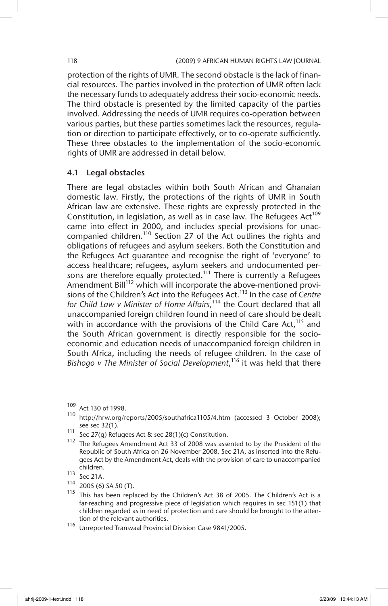protection of the rights of UMR. The second obstacle is the lack of financial resources. The parties involved in the protection of UMR often lack the necessary funds to adequately address their socio-economic needs. The third obstacle is presented by the limited capacity of the parties involved. Addressing the needs of UMR requires co-operation between various parties, but these parties sometimes lack the resources, regulation or direction to participate effectively, or to co-operate sufficiently. These three obstacles to the implementation of the socio-economic rights of UMR are addressed in detail below.

# 4.1 Legal obstacles

There are legal obstacles within both South African and Ghanaian domestic law. Firstly, the protections of the rights of UMR in South African law are extensive. These rights are expressly protected in the Constitution, in legislation, as well as in case law. The Refugees Act<sup>109</sup> came into effect in 2000, and includes special provisions for unaccompanied children.<sup>110</sup> Section 27 of the Act outlines the rights and obligations of refugees and asylum seekers. Both the Constitution and the Refugees Act guarantee and recognise the right of 'everyone' to access healthcare; refugees, asylum seekers and undocumented persons are therefore equally protected.<sup>111</sup> There is currently a Refugees Amendment Bill<sup>112</sup> which will incorporate the above-mentioned provisions of the Children's Act into the Refugees Act.113 In the case of *Centre for Child Law v Minister of Home Affairs,*114 the Court declared that all unaccompanied foreign children found in need of care should be dealt with in accordance with the provisions of the Child Care Act,  $115$  and the South African government is directly responsible for the socioeconomic and education needs of unaccompanied foreign children in South Africa, including the needs of refugee children. In the case of *Bishogo v The Minister of Social Development*, 116 it was held that there

 $\frac{109}{4}$  Act 130 of 1998.

<sup>110</sup> http://hrw.org/reports/2005/southafrica1105/4.htm (accessed 3 October 2008); see sec 32(1).

<sup>111</sup> Sec 27(g) Refugees Act & sec 28(1)(c) Constitution.

<sup>112</sup> The Refugees Amendment Act 33 of 2008 was assented to by the President of the Republic of South Africa on 26 November 2008. Sec 21A, as inserted into the Refugees Act by the Amendment Act, deals with the provision of care to unaccompanied children.

<sup>113</sup> Sec 21A.

 $114$  2005 (6) SA 50 (T).

<sup>115</sup> This has been replaced by the Children's Act 38 of 2005. The Children's Act is a far-reaching and progressive piece of legislation which requires in sec 151(1) that children regarded as in need of protection and care should be brought to the attention of the relevant authorities.

<sup>116</sup> Unreported Transvaal Provincial Division Case 9841/2005.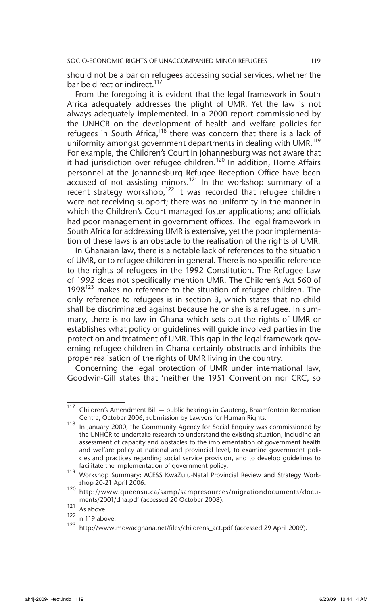should not be a bar on refugees accessing social services, whether the bar be direct or indirect.<sup>117</sup>

From the foregoing it is evident that the legal framework in South Africa adequately addresses the plight of UMR. Yet the law is not always adequately implemented. In a 2000 report commissioned by the UNHCR on the development of health and welfare policies for refugees in South Africa, $118$  there was concern that there is a lack of uniformity amongst government departments in dealing with UMR.<sup>119</sup> For example, the Children's Court in Johannesburg was not aware that it had jurisdiction over refugee children.<sup>120</sup> In addition, Home Affairs personnel at the Johannesburg Refugee Reception Office have been  $\frac{1}{2}$  accused of not assisting minors.<sup>121</sup> In the workshop summary of a recent strategy workshop, $122$  it was recorded that refugee children were not receiving support; there was no uniformity in the manner in which the Children's Court managed foster applications; and officials had poor management in government offices. The legal framework in South Africa for addressing UMR is extensive, yet the poor implementation of these laws is an obstacle to the realisation of the rights of UMR.

In Ghanaian law, there is a notable lack of references to the situation of UMR, or to refugee children in general. There is no specific reference to the rights of refugees in the 1992 Constitution. The Refugee Law of 1992 does not specifically mention UMR. The Children's Act 560 of 1998 $123$  makes no reference to the situation of refugee children. The only reference to refugees is in section 3, which states that no child shall be discriminated against because he or she is a refugee. In summary, there is no law in Ghana which sets out the rights of UMR or establishes what policy or guidelines will guide involved parties in the protection and treatment of UMR. This gap in the legal framework governing refugee children in Ghana certainly obstructs and inhibits the proper realisation of the rights of UMR living in the country.

Concerning the legal protection of UMR under international law, Goodwin-Gill states that 'neither the 1951 Convention nor CRC, so

 $\frac{117}{117}$  Children's Amendment Bill — public hearings in Gauteng, Braamfontein Recreation Centre, October 2006, submission by Lawyers for Human Rights.

 $118$  In January 2000, the Community Agency for Social Enquiry was commissioned by the UNHCR to undertake research to understand the existing situation, including an assessment of capacity and obstacles to the implementation of government health and welfare policy at national and provincial level, to examine government policies and practices regarding social service provision, and to develop guidelines to facilitate the implementation of government policy.

<sup>119</sup> Workshop Summary: ACESS KwaZulu-Natal Provincial Review and Strategy Workshop 20-21 April 2006.

<sup>120</sup> http://www.queensu.ca/samp/sampresources/migrationdocuments/documents/2001/dha.pdf (accessed 20 October 2008).

 $\frac{121}{122}$  As above.

 $\frac{122}{123}$  n 119 above.

<sup>123</sup> http://www.mowacghana.net/files/childrens\_act.pdf (accessed 29 April 2009).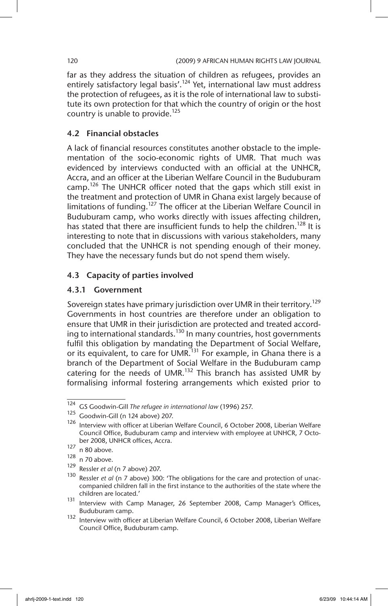far as they address the situation of children as refugees, provides an entirely satisfactory legal basis'.<sup>124</sup> Yet, international law must address the protection of refugees, as it is the role of international law to substitute its own protection for that which the country of origin or the host country is unable to provide.<sup>125</sup>

### 4.2 Financial obstacles

A lack of financial resources constitutes another obstacle to the implementation of the socio-economic rights of UMR. That much was evidenced by interviews conducted with an official at the UNHCR, Accra, and an officer at the Liberian Welfare Council in the Buduburam camp.<sup>126</sup> The UNHCR officer noted that the gaps which still exist in the treatment and protection of UMR in Ghana exist largely because of limitations of funding.<sup>127</sup> The officer at the Liberian Welfare Council in Buduburam camp, who works directly with issues affecting children, has stated that there are insufficient funds to help the children.<sup>128</sup> It is interesting to note that in discussions with various stakeholders, many concluded that the UNHCR is not spending enough of their money. They have the necessary funds but do not spend them wisely.

# 4.3 Capacity of parties involved

# 4.3.1 Government

Sovereign states have primary jurisdiction over UMR in their territory.<sup>129</sup> Governments in host countries are therefore under an obligation to ensure that UMR in their jurisdiction are protected and treated according to international standards.<sup>130</sup> In many countries, host governments fulfil this obligation by mandating the Department of Social Welfare, or its equivalent, to care for UMR.<sup>131</sup> For example, in Ghana there is a branch of the Department of Social Welfare in the Buduburam camp catering for the needs of UMR. $132$  This branch has assisted UMR by formalising informal fostering arrangements which existed prior to

<sup>124</sup> GS Goodwin-Gill *The refugee in international law* (1996) 257.

<sup>125</sup> Goodwin-Gill (n 124 above) 207.

 $126$  Interview with officer at Liberian Welfare Council, 6 October 2008, Liberian Welfare Council Office, Buduburam camp and interview with employee at UNHCR, 7 October 2008, UNHCR offices, Accra.

 $127$  n 80 above.

<sup>128</sup> n 70 above.

<sup>129</sup> Ressler *et al* (n 7 above) 207.

<sup>130</sup> Ressler *et al* (n 7 above) 300: 'The obligations for the care and protection of unaccompanied children fall in the first instance to the authorities of the state where the children are located.'

<sup>131</sup> Interview with Camp Manager, 26 September 2008, Camp Manager's Offices, Buduburam camp.

<sup>132</sup> Interview with officer at Liberian Welfare Council, 6 October 2008, Liberian Welfare Council Office, Buduburam camp.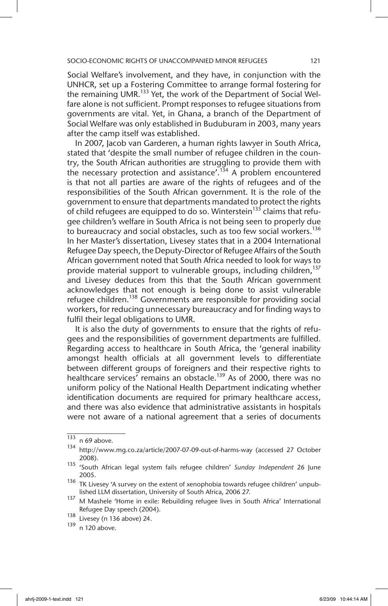Social Welfare's involvement, and they have, in conjunction with the UNHCR, set up a Fostering Committee to arrange formal fostering for the remaining UMR.<sup>133</sup> Yet, the work of the Department of Social Welfare alone is not sufficient. Prompt responses to refugee situations from governments are vital. Yet, in Ghana, a branch of the Department of Social Welfare was only established in Buduburam in 2003, many years after the camp itself was established.

In 2007, Jacob van Garderen, a human rights lawyer in South Africa, stated that 'despite the small number of refugee children in the country, the South African authorities are struggling to provide them with the necessary protection and assistance'.<sup>134</sup> A problem encountered is that not all parties are aware of the rights of refugees and of the responsibilities of the South African government. It is the role of the government to ensure that departments mandated to protect the rights of child refugees are equipped to do so. Winterstein<sup>135</sup> claims that refugee children's welfare in South Africa is not being seen to properly due to bureaucracy and social obstacles, such as too few social workers.<sup>136</sup> In her Master's dissertation, Livesey states that in a 2004 International Refugee Day speech, the Deputy-Director of Refugee Affairs of the South African government noted that South Africa needed to look for ways to provide material support to vulnerable groups, including children,<sup>137</sup> and Livesey deduces from this that the South African government acknowledges that not enough is being done to assist vulnerable refugee children.<sup>138</sup> Governments are responsible for providing social workers, for reducing unnecessary bureaucracy and for finding ways to fulfil their legal obligations to UMR.

It is also the duty of governments to ensure that the rights of refugees and the responsibilities of government departments are fulfilled. Regarding access to healthcare in South Africa, the 'general inability amongst health officials at all government levels to differentiate between different groups of foreigners and their respective rights to healthcare services' remains an obstacle.<sup>139</sup> As of 2000, there was no uniform policy of the National Health Department indicating whether identification documents are required for primary healthcare access, and there was also evidence that administrative assistants in hospitals were not aware of a national agreement that a series of documents

 $\frac{133}{\text{n}}$  n 69 above.

<sup>134</sup> http://www.mg.co.za/article/2007-07-09-out-of-harms-way (accessed 27 October 2008).

<sup>135</sup> 'South African legal system fails refugee children' *Sunday Independent* 26 June 2005.

 $136$  TK Livesey 'A survey on the extent of xenophobia towards refugee children' unpublished LLM dissertation, University of South Africa, 2006 27.

<sup>&</sup>lt;sup>137</sup> M Mashele 'Home in exile: Rebuilding refugee lives in South Africa' International Refugee Day speech (2004).

<sup>138</sup> Livesey (n 136 above) 24.

<sup>139</sup> n 120 above.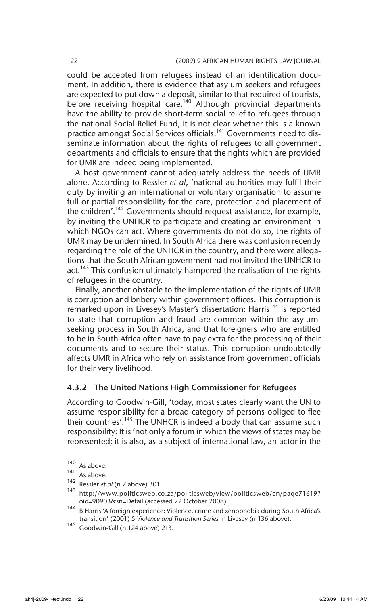could be accepted from refugees instead of an identification document. In addition, there is evidence that asylum seekers and refugees are expected to put down a deposit, similar to that required of tourists, before receiving hospital care.<sup>140</sup> Although provincial departments have the ability to provide short-term social relief to refugees through the national Social Relief Fund, it is not clear whether this is a known practice amongst Social Services officials.<sup>141</sup> Governments need to disseminate information about the rights of refugees to all government departments and officials to ensure that the rights which are provided for UMR are indeed being implemented.

A host government cannot adequately address the needs of UMR alone. According to Ressler *et al*, 'national authorities may fulfil their duty by inviting an international or voluntary organisation to assume full or partial responsibility for the care, protection and placement of the children'.<sup>142</sup> Governments should request assistance, for example, by inviting the UNHCR to participate and creating an environment in which NGOs can act. Where governments do not do so, the rights of UMR may be undermined. In South Africa there was confusion recently regarding the role of the UNHCR in the country, and there were allegations that the South African government had not invited the UNHCR to act.<sup>143</sup> This confusion ultimately hampered the realisation of the rights of refugees in the country.

Finally, another obstacle to the implementation of the rights of UMR is corruption and bribery within government offices. This corruption is remarked upon in Livesey's Master's dissertation: Harris<sup>144</sup> is reported to state that corruption and fraud are common within the asylumseeking process in South Africa, and that foreigners who are entitled to be in South Africa often have to pay extra for the processing of their documents and to secure their status. This corruption undoubtedly affects UMR in Africa who rely on assistance from government officials for their very livelihood.

### 4.3.2 The United Nations High Commissioner for Refugees

According to Goodwin-Gill, 'today, most states clearly want the UN to assume responsibility for a broad category of persons obliged to flee their countries'.<sup>145</sup> The UNHCR is indeed a body that can assume such responsibility: It is 'not only a forum in which the views of states may be represented; it is also, as a subject of international law, an actor in the

 $\frac{140}{141}$  As above.

As above.

<sup>142</sup> Ressler *et al* (n 7 above) 301.

<sup>143</sup> http://www.politicsweb.co.za/politicsweb/view/politicsweb/en/page71619? oid=90903&sn=Detail (accessed 22 October 2008).

<sup>&</sup>lt;sup>144</sup> B Harris 'A foreign experience: Violence, crime and xenophobia during South Africa's transition' (2001) 5 *Violence and Transition Series* in Livesey (n 136 above).

<sup>145</sup> Goodwin-Gill (n 124 above) 213.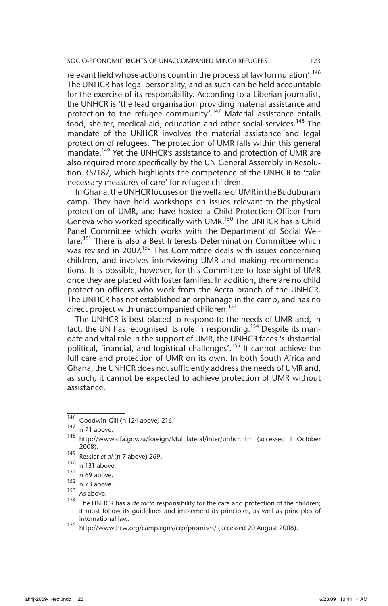relevant field whose actions count in the process of law formulation'.<sup>146</sup> The UNHCR has legal personality, and as such can be held accountable for the exercise of its responsibility. According to a Liberian journalist, the UNHCR is 'the lead organisation providing material assistance and protection to the refugee community'.<sup>147</sup> Material assistance entails food, shelter, medical aid, education and other social services.<sup>148</sup> The mandate of the UNHCR involves the material assistance and legal protection of refugees. The protection of UMR falls within this general mandate.<sup>149</sup> Yet the UNHCR's assistance to and protection of UMR are also required more specifically by the UN General Assembly in Resolution 35/187, which highlights the competence of the UNHCR to 'take necessary measures of care' for refugee children.

In Ghana, the UNHCR focuses on the welfare of UMR in the Buduburam camp. They have held workshops on issues relevant to the physical protection of UMR, and have hosted a Child Protection Officer from Geneva who worked specifically with UMR.<sup>150</sup> The UNHCR has a Child Panel Committee which works with the Department of Social Welfare.<sup>151</sup> There is also a Best Interests Determination Committee which was revised in 2007.<sup>152</sup> This Committee deals with issues concerning children, and involves interviewing UMR and making recommendations. It is possible, however, for this Committee to lose sight of UMR once they are placed with foster families. In addition, there are no child protection officers who work from the Accra branch of the UNHCR. The UNHCR has not established an orphanage in the camp, and has no direct project with unaccompanied children.<sup>153</sup>

The UNHCR is best placed to respond to the needs of UMR and, in fact, the UN has recognised its role in responding.<sup>154</sup> Despite its mandate and vital role in the support of UMR, the UNHCR faces 'substantial political, financial, and logistical challenges'.<sup>155</sup> It cannot achieve the full care and protection of UMR on its own. In both South Africa and Ghana, the UNHCR does not sufficiently address the needs of UMR and, as such, it cannot be expected to achieve protection of UMR without assistance.

n 73 above.

 $\frac{146}{147}$  Goodwin-Gill (n 124 above) 216.

n 71 above.

<sup>148</sup> http://www.dfa.gov.za/foreign/Multilateral/inter/unhcr.htm (accessed 1 October 2008).

<sup>149</sup> Ressler *et al* (n 7 above) 269.

 $\frac{150}{151}$  n 131 above.

 $\frac{151}{152}$  n 69 above.

 $153$  As above.

<sup>154</sup> The UNHCR has a *de facto* responsibility for the care and protection of the children; it must follow its guidelines and implement its principles, as well as principles of international law.

<sup>155</sup> http://www.hrw.org/campaigns/crp/promises/ (accessed 20 August 2008).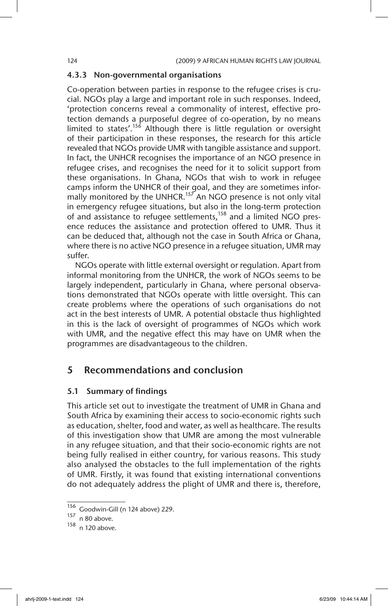### 4.3.3 Non-governmental organisations

Co-operation between parties in response to the refugee crises is crucial. NGOs play a large and important role in such responses. Indeed, 'protection concerns reveal a commonality of interest, effective protection demands a purposeful degree of co-operation, by no means limited to states'.<sup>156</sup> Although there is little regulation or oversight of their participation in these responses, the research for this article revealed that NGOs provide UMR with tangible assistance and support. In fact, the UNHCR recognises the importance of an NGO presence in refugee crises, and recognises the need for it to solicit support from these organisations. In Ghana, NGOs that wish to work in refugee camps inform the UNHCR of their goal, and they are sometimes informally monitored by the UNHCR.<sup>157</sup> An NGO presence is not only vital in emergency refugee situations, but also in the long-term protection of and assistance to refugee settlements,  $158$  and a limited NGO presence reduces the assistance and protection offered to UMR. Thus it can be deduced that, although not the case in South Africa or Ghana, where there is no active NGO presence in a refugee situation, UMR may suffer.

NGOs operate with little external oversight or regulation. Apart from informal monitoring from the UNHCR, the work of NGOs seems to be largely independent, particularly in Ghana, where personal observations demonstrated that NGOs operate with little oversight. This can create problems where the operations of such organisations do not act in the best interests of UMR. A potential obstacle thus highlighted in this is the lack of oversight of programmes of NGOs which work with UMR, and the negative effect this may have on UMR when the programmes are disadvantageous to the children.

# 5 Recommendations and conclusion

### 5.1 Summary of findings

This article set out to investigate the treatment of UMR in Ghana and South Africa by examining their access to socio-economic rights such as education, shelter, food and water, as well as healthcare. The results of this investigation show that UMR are among the most vulnerable in any refugee situation, and that their socio-economic rights are not being fully realised in either country, for various reasons. This study also analysed the obstacles to the full implementation of the rights of UMR. Firstly, it was found that existing international conventions do not adequately address the plight of UMR and there is, therefore,

 $\frac{156}{156}$  Goodwin-Gill (n 124 above) 229.

n 80 above.

<sup>158</sup> n 120 above.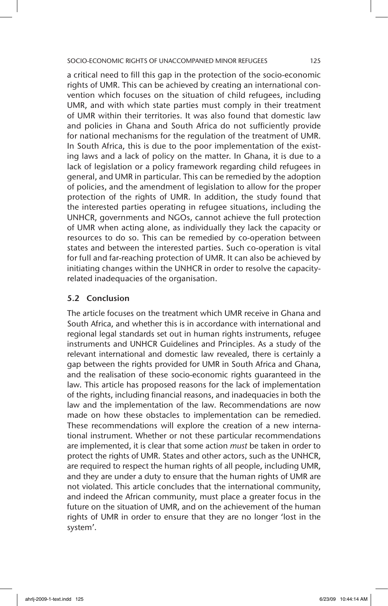a critical need to fill this gap in the protection of the socio-economic rights of UMR. This can be achieved by creating an international convention which focuses on the situation of child refugees, including UMR, and with which state parties must comply in their treatment of UMR within their territories. It was also found that domestic law and policies in Ghana and South Africa do not sufficiently provide for national mechanisms for the regulation of the treatment of UMR. In South Africa, this is due to the poor implementation of the existing laws and a lack of policy on the matter. In Ghana, it is due to a lack of legislation or a policy framework regarding child refugees in general, and UMR in particular. This can be remedied by the adoption of policies, and the amendment of legislation to allow for the proper protection of the rights of UMR. In addition, the study found that the interested parties operating in refugee situations, including the UNHCR, governments and NGOs, cannot achieve the full protection of UMR when acting alone, as individually they lack the capacity or resources to do so. This can be remedied by co-operation between states and between the interested parties. Such co-operation is vital for full and far-reaching protection of UMR. It can also be achieved by initiating changes within the UNHCR in order to resolve the capacityrelated inadequacies of the organisation.

# 5.2 Conclusion

The article focuses on the treatment which UMR receive in Ghana and South Africa, and whether this is in accordance with international and regional legal standards set out in human rights instruments, refugee instruments and UNHCR Guidelines and Principles. As a study of the relevant international and domestic law revealed, there is certainly a gap between the rights provided for UMR in South Africa and Ghana, and the realisation of these socio-economic rights guaranteed in the law. This article has proposed reasons for the lack of implementation of the rights, including financial reasons, and inadequacies in both the law and the implementation of the law. Recommendations are now made on how these obstacles to implementation can be remedied. These recommendations will explore the creation of a new international instrument. Whether or not these particular recommendations are implemented, it is clear that some action *must* be taken in order to protect the rights of UMR. States and other actors, such as the UNHCR, are required to respect the human rights of all people, including UMR, and they are under a duty to ensure that the human rights of UMR are not violated. This article concludes that the international community, and indeed the African community, must place a greater focus in the future on the situation of UMR, and on the achievement of the human rights of UMR in order to ensure that they are no longer 'lost in the system'.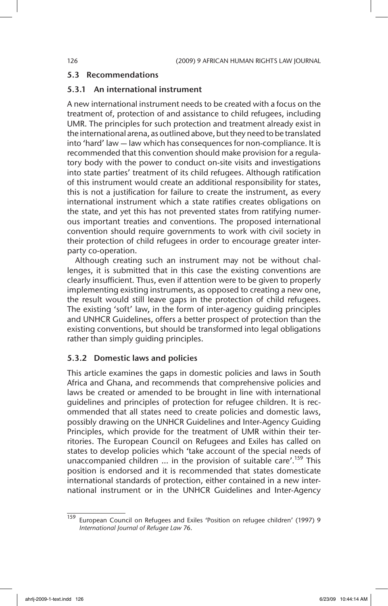### 5.3 Recommendations

# 5.3.1 An international instrument

A new international instrument needs to be created with a focus on the treatment of, protection of and assistance to child refugees, including UMR. The principles for such protection and treatment already exist in the international arena, as outlined above, but they need to be translated into 'hard' law — law which has consequences for non-compliance. It is recommended that this convention should make provision for a regulatory body with the power to conduct on-site visits and investigations into state parties' treatment of its child refugees. Although ratification of this instrument would create an additional responsibility for states, this is not a justification for failure to create the instrument, as every international instrument which a state ratifies creates obligations on the state, and yet this has not prevented states from ratifying numerous important treaties and conventions. The proposed international convention should require governments to work with civil society in their protection of child refugees in order to encourage greater interparty co-operation.

Although creating such an instrument may not be without challenges, it is submitted that in this case the existing conventions are clearly insufficient. Thus, even if attention were to be given to properly implementing existing instruments, as opposed to creating a new one, the result would still leave gaps in the protection of child refugees. The existing 'soft' law, in the form of inter-agency guiding principles and UNHCR Guidelines, offers a better prospect of protection than the existing conventions, but should be transformed into legal obligations rather than simply guiding principles.

### 5.3.2 Domestic laws and policies

This article examines the gaps in domestic policies and laws in South Africa and Ghana, and recommends that comprehensive policies and laws be created or amended to be brought in line with international guidelines and principles of protection for refugee children. It is recommended that all states need to create policies and domestic laws, possibly drawing on the UNHCR Guidelines and Inter-Agency Guiding Principles, which provide for the treatment of UMR within their territories. The European Council on Refugees and Exiles has called on states to develop policies which 'take account of the special needs of unaccompanied children ... in the provision of suitable care'.<sup>159</sup> This position is endorsed and it is recommended that states domesticate international standards of protection, either contained in a new international instrument or in the UNHCR Guidelines and Inter-Agency

<sup>159</sup> European Council on Refugees and Exiles 'Position on refugee children' (1997) 9 *International Journal of Refugee Law* 76.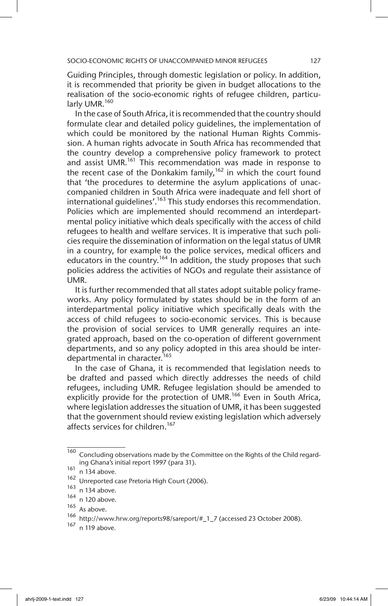Guiding Principles, through domestic legislation or policy. In addition, it is recommended that priority be given in budget allocations to the realisation of the socio-economic rights of refugee children, particularly UMR.<sup>160</sup>

In the case of South Africa, it is recommended that the country should formulate clear and detailed policy guidelines, the implementation of which could be monitored by the national Human Rights Commission. A human rights advocate in South Africa has recommended that the country develop a comprehensive policy framework to protect and assist UMR.<sup>161</sup> This recommendation was made in response to the recent case of the Donkakim family,  $162$  in which the court found that 'the procedures to determine the asylum applications of unaccompanied children in South Africa were inadequate and fell short of international quidelines'.<sup>163</sup> This study endorses this recommendation. Policies which are implemented should recommend an interdepartmental policy initiative which deals specifically with the access of child refugees to health and welfare services. It is imperative that such policies require the dissemination of information on the legal status of UMR in a country, for example to the police services, medical officers and educators in the country.<sup>164</sup> In addition, the study proposes that such policies address the activities of NGOs and regulate their assistance of UMR.

It is further recommended that all states adopt suitable policy frameworks. Any policy formulated by states should be in the form of an interdepartmental policy initiative which specifically deals with the access of child refugees to socio-economic services. This is because the provision of social services to UMR generally requires an integrated approach, based on the co-operation of different government departments, and so any policy adopted in this area should be interdepartmental in character.<sup>165</sup>

In the case of Ghana, it is recommended that legislation needs to be drafted and passed which directly addresses the needs of child refugees, including UMR. Refugee legislation should be amended to explicitly provide for the protection of UMR.<sup>166</sup> Even in South Africa, where legislation addresses the situation of UMR, it has been suggested that the government should review existing legislation which adversely affects services for children.<sup>167</sup>

<sup>160</sup> Concluding observations made by the Committee on the Rights of the Child regarding Ghana's initial report 1997 (para 31).

 $161$  n 134 above.

<sup>162</sup> Unreported case Pretoria High Court (2006).

 $\frac{163}{164}$  n 134 above.

n 120 above.

<sup>165</sup> As above.

<sup>166</sup> http://www.hrw.org/reports98/sareport/#\_1\_7 (accessed 23 October 2008).

<sup>167</sup> n 119 above.